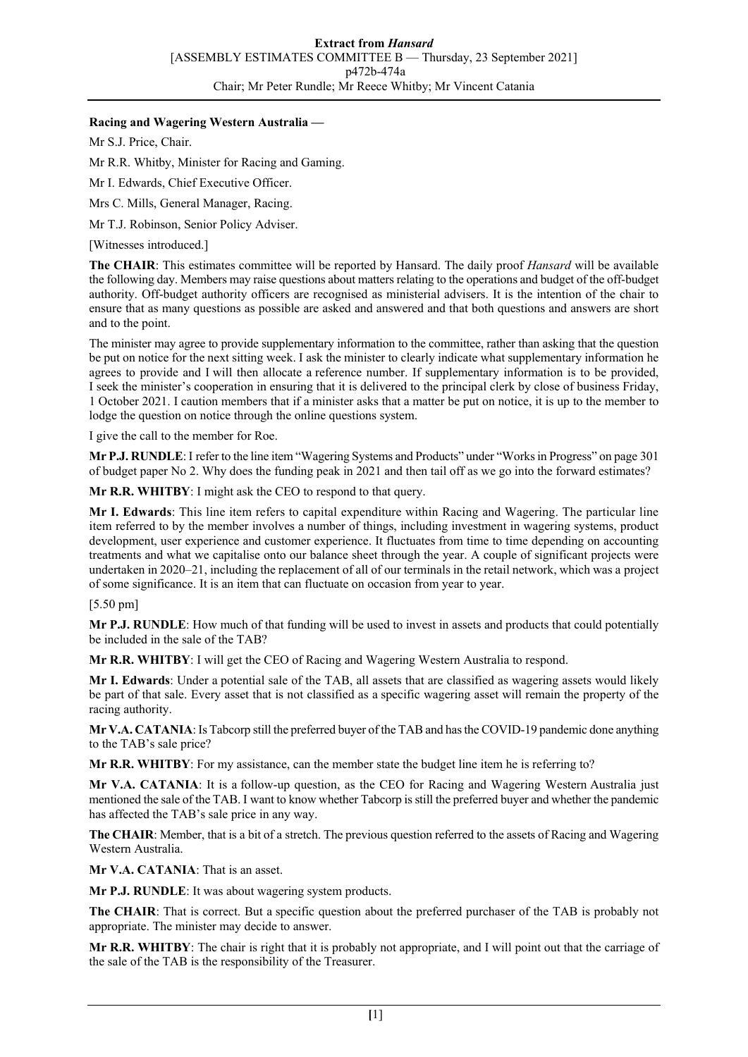## **Racing and Wagering Western Australia —**

Mr S.J. Price, Chair.

Mr R.R. Whitby, Minister for Racing and Gaming.

Mr I. Edwards, Chief Executive Officer.

Mrs C. Mills, General Manager, Racing.

Mr T.J. Robinson, Senior Policy Adviser.

[Witnesses introduced.]

**The CHAIR**: This estimates committee will be reported by Hansard. The daily proof *Hansard* will be available the following day. Members may raise questions about matters relating to the operations and budget of the off-budget authority. Off-budget authority officers are recognised as ministerial advisers. It is the intention of the chair to ensure that as many questions as possible are asked and answered and that both questions and answers are short and to the point.

The minister may agree to provide supplementary information to the committee, rather than asking that the question be put on notice for the next sitting week. I ask the minister to clearly indicate what supplementary information he agrees to provide and I will then allocate a reference number. If supplementary information is to be provided, I seek the minister's cooperation in ensuring that it is delivered to the principal clerk by close of business Friday, 1 October 2021. I caution members that if a minister asks that a matter be put on notice, it is up to the member to lodge the question on notice through the online questions system.

I give the call to the member for Roe.

**Mr P.J. RUNDLE**: I refer to the line item "Wagering Systems and Products" under "Works in Progress" on page 301 of budget paper No 2. Why does the funding peak in 2021 and then tail off as we go into the forward estimates?

**Mr R.R. WHITBY**: I might ask the CEO to respond to that query.

**Mr I. Edwards**: This line item refers to capital expenditure within Racing and Wagering. The particular line item referred to by the member involves a number of things, including investment in wagering systems, product development, user experience and customer experience. It fluctuates from time to time depending on accounting treatments and what we capitalise onto our balance sheet through the year. A couple of significant projects were undertaken in 2020–21, including the replacement of all of our terminals in the retail network, which was a project of some significance. It is an item that can fluctuate on occasion from year to year.

## [5.50 pm]

**Mr P.J. RUNDLE**: How much of that funding will be used to invest in assets and products that could potentially be included in the sale of the TAB?

**Mr R.R. WHITBY**: I will get the CEO of Racing and Wagering Western Australia to respond.

**Mr I. Edwards**: Under a potential sale of the TAB, all assets that are classified as wagering assets would likely be part of that sale. Every asset that is not classified as a specific wagering asset will remain the property of the racing authority.

**Mr V.A. CATANIA**: Is Tabcorp still the preferred buyer of the TAB and has the COVID-19 pandemic done anything to the TAB's sale price?

**Mr R.R. WHITBY**: For my assistance, can the member state the budget line item he is referring to?

**Mr V.A. CATANIA**: It is a follow-up question, as the CEO for Racing and Wagering Western Australia just mentioned the sale of the TAB. I want to know whether Tabcorp is still the preferred buyer and whether the pandemic has affected the TAB's sale price in any way.

**The CHAIR**: Member, that is a bit of a stretch. The previous question referred to the assets of Racing and Wagering Western Australia.

**Mr V.A. CATANIA**: That is an asset.

**Mr P.J. RUNDLE**: It was about wagering system products.

**The CHAIR**: That is correct. But a specific question about the preferred purchaser of the TAB is probably not appropriate. The minister may decide to answer.

**Mr R.R. WHITBY**: The chair is right that it is probably not appropriate, and I will point out that the carriage of the sale of the TAB is the responsibility of the Treasurer.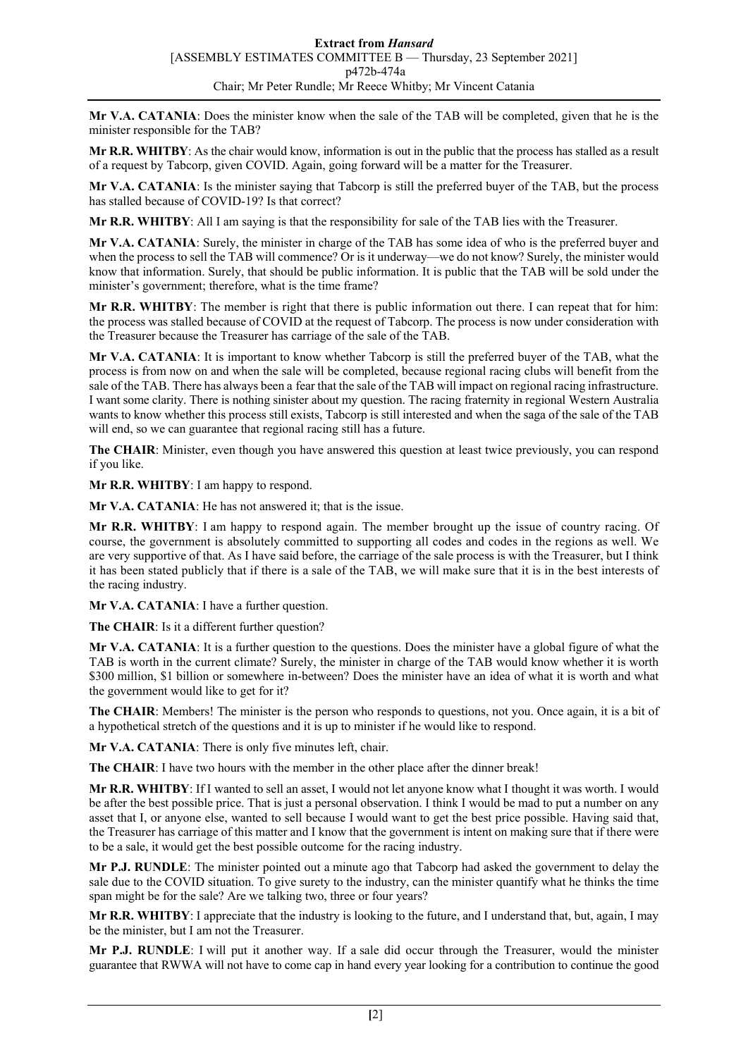**Mr V.A. CATANIA**: Does the minister know when the sale of the TAB will be completed, given that he is the minister responsible for the TAB?

**Mr R.R. WHITBY**: As the chair would know, information is out in the public that the process has stalled as a result of a request by Tabcorp, given COVID. Again, going forward will be a matter for the Treasurer.

**Mr V.A. CATANIA**: Is the minister saying that Tabcorp is still the preferred buyer of the TAB, but the process has stalled because of COVID-19? Is that correct?

**Mr R.R. WHITBY**: All I am saying is that the responsibility for sale of the TAB lies with the Treasurer.

**Mr V.A. CATANIA**: Surely, the minister in charge of the TAB has some idea of who is the preferred buyer and when the process to sell the TAB will commence? Or is it underway—we do not know? Surely, the minister would know that information. Surely, that should be public information. It is public that the TAB will be sold under the minister's government; therefore, what is the time frame?

**Mr R.R. WHITBY**: The member is right that there is public information out there. I can repeat that for him: the process was stalled because of COVID at the request of Tabcorp. The process is now under consideration with the Treasurer because the Treasurer has carriage of the sale of the TAB.

**Mr V.A. CATANIA**: It is important to know whether Tabcorp is still the preferred buyer of the TAB, what the process is from now on and when the sale will be completed, because regional racing clubs will benefit from the sale of the TAB. There has always been a fear that the sale of the TAB will impact on regional racing infrastructure. I want some clarity. There is nothing sinister about my question. The racing fraternity in regional Western Australia wants to know whether this process still exists, Tabcorp is still interested and when the saga of the sale of the TAB will end, so we can guarantee that regional racing still has a future.

**The CHAIR**: Minister, even though you have answered this question at least twice previously, you can respond if you like.

**Mr R.R. WHITBY**: I am happy to respond.

**Mr V.A. CATANIA**: He has not answered it; that is the issue.

**Mr R.R. WHITBY**: I am happy to respond again. The member brought up the issue of country racing. Of course, the government is absolutely committed to supporting all codes and codes in the regions as well. We are very supportive of that. As I have said before, the carriage of the sale process is with the Treasurer, but I think it has been stated publicly that if there is a sale of the TAB, we will make sure that it is in the best interests of the racing industry.

**Mr V.A. CATANIA**: I have a further question.

**The CHAIR**: Is it a different further question?

**Mr V.A. CATANIA**: It is a further question to the questions. Does the minister have a global figure of what the TAB is worth in the current climate? Surely, the minister in charge of the TAB would know whether it is worth \$300 million, \$1 billion or somewhere in-between? Does the minister have an idea of what it is worth and what the government would like to get for it?

**The CHAIR**: Members! The minister is the person who responds to questions, not you. Once again, it is a bit of a hypothetical stretch of the questions and it is up to minister if he would like to respond.

**Mr V.A. CATANIA**: There is only five minutes left, chair.

**The CHAIR**: I have two hours with the member in the other place after the dinner break!

**Mr R.R. WHITBY**: If I wanted to sell an asset, I would not let anyone know what I thought it was worth. I would be after the best possible price. That is just a personal observation. I think I would be mad to put a number on any asset that I, or anyone else, wanted to sell because I would want to get the best price possible. Having said that, the Treasurer has carriage of this matter and I know that the government is intent on making sure that if there were to be a sale, it would get the best possible outcome for the racing industry.

**Mr P.J. RUNDLE**: The minister pointed out a minute ago that Tabcorp had asked the government to delay the sale due to the COVID situation. To give surety to the industry, can the minister quantify what he thinks the time span might be for the sale? Are we talking two, three or four years?

**Mr R.R. WHITBY**: I appreciate that the industry is looking to the future, and I understand that, but, again, I may be the minister, but I am not the Treasurer.

**Mr P.J. RUNDLE**: I will put it another way. If a sale did occur through the Treasurer, would the minister guarantee that RWWA will not have to come cap in hand every year looking for a contribution to continue the good